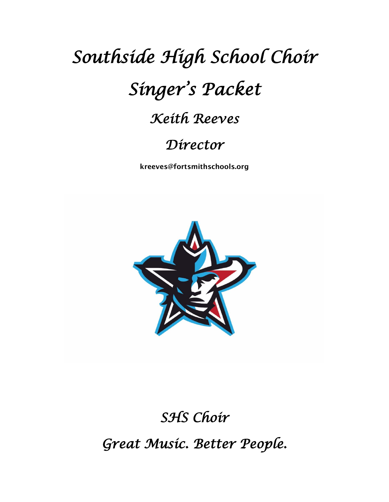## *Southside High School Choir Singer's Packet Keith Reeves*

## *Director*

kreeves@fortsmithschools.org



## *SHS Choir*

*Great Music. Better People.*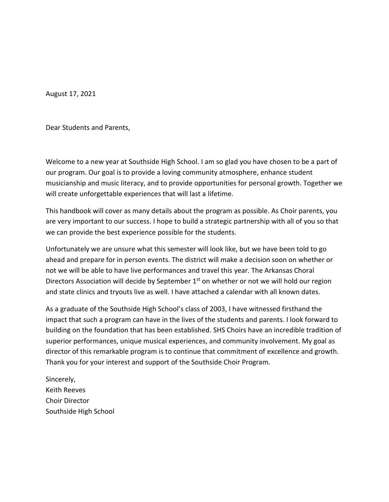August 17, 2021

Dear Students and Parents,

Welcome to a new year at Southside High School. I am so glad you have chosen to be a part of our program. Our goal is to provide a loving community atmosphere, enhance student musicianship and music literacy, and to provide opportunities for personal growth. Together we will create unforgettable experiences that will last a lifetime.

This handbook will cover as many details about the program as possible. As Choir parents, you are very important to our success. I hope to build a strategic partnership with all of you so that we can provide the best experience possible for the students.

Unfortunately we are unsure what this semester will look like, but we have been told to go ahead and prepare for in person events. The district will make a decision soon on whether or not we will be able to have live performances and travel this year. The Arkansas Choral Directors Association will decide by September 1<sup>st</sup> on whether or not we will hold our region and state clinics and tryouts live as well. I have attached a calendar with all known dates.

As a graduate of the Southside High School's class of 2003, I have witnessed firsthand the impact that such a program can have in the lives of the students and parents. I look forward to building on the foundation that has been established. SHS Choirs have an incredible tradition of superior performances, unique musical experiences, and community involvement. My goal as director of this remarkable program is to continue that commitment of excellence and growth. Thank you for your interest and support of the Southside Choir Program.

Sincerely, Keith Reeves Choir Director Southside High School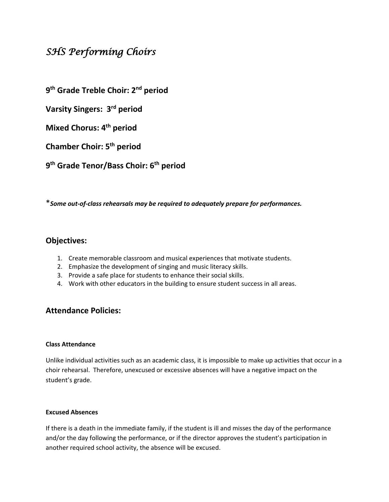#### *SHS Performing Choirs*

**9 th Grade Treble Choir: 2 nd period**

**Varsity Singers: 3rd period**

**Mixed Chorus: 4th period**

**Chamber Choir: 5th period**

**9 th Grade Tenor/Bass Choir: 6th period**

\**Some out-of-class rehearsals may be required to adequately prepare for performances.*

#### **Objectives:**

- 1. Create memorable classroom and musical experiences that motivate students.
- 2. Emphasize the development of singing and music literacy skills.
- 3. Provide a safe place for students to enhance their social skills.
- 4. Work with other educators in the building to ensure student success in all areas.

#### **Attendance Policies:**

#### **Class Attendance**

Unlike individual activities such as an academic class, it is impossible to make up activities that occur in a choir rehearsal. Therefore, unexcused or excessive absences will have a negative impact on the student's grade.

#### **Excused Absences**

If there is a death in the immediate family, if the student is ill and misses the day of the performance and/or the day following the performance, or if the director approves the student's participation in another required school activity, the absence will be excused.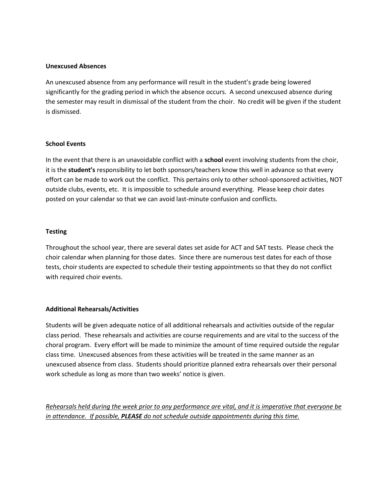#### **Unexcused Absences**

An unexcused absence from any performance will result in the student's grade being lowered significantly for the grading period in which the absence occurs. A second unexcused absence during the semester may result in dismissal of the student from the choir. No credit will be given if the student is dismissed.

#### **School Events**

In the event that there is an unavoidable conflict with a **school** event involving students from the choir, it is the **student's** responsibility to let both sponsors/teachers know this well in advance so that every effort can be made to work out the conflict. This pertains only to other school-sponsored activities, NOT outside clubs, events, etc. It is impossible to schedule around everything. Please keep choir dates posted on your calendar so that we can avoid last-minute confusion and conflicts.

#### **Testing**

Throughout the school year, there are several dates set aside for ACT and SAT tests. Please check the choir calendar when planning for those dates. Since there are numerous test dates for each of those tests, choir students are expected to schedule their testing appointments so that they do not conflict with required choir events.

#### **Additional Rehearsals/Activities**

Students will be given adequate notice of all additional rehearsals and activities outside of the regular class period. These rehearsals and activities are course requirements and are vital to the success of the choral program. Every effort will be made to minimize the amount of time required outside the regular class time. Unexcused absences from these activities will be treated in the same manner as an unexcused absence from class. Students should prioritize planned extra rehearsals over their personal work schedule as long as more than two weeks' notice is given.

*Rehearsals held during the week prior to any performance are vital, and it is imperative that everyone be in attendance. If possible, PLEASE do not schedule outside appointments during this time.*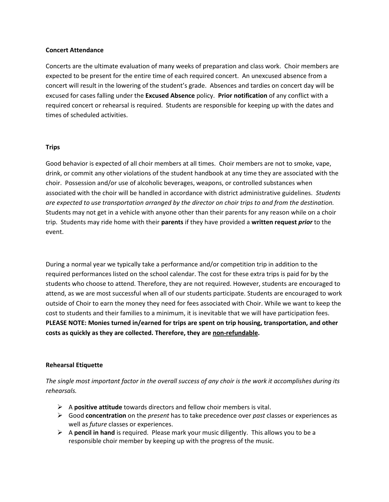#### **Concert Attendance**

Concerts are the ultimate evaluation of many weeks of preparation and class work. Choir members are expected to be present for the entire time of each required concert. An unexcused absence from a concert will result in the lowering of the student's grade. Absences and tardies on concert day will be excused for cases falling under the **Excused Absence** policy. **Prior notification** of any conflict with a required concert or rehearsal is required. Students are responsible for keeping up with the dates and times of scheduled activities.

#### **Trips**

Good behavior is expected of all choir members at all times. Choir members are not to smoke, vape, drink, or commit any other violations of the student handbook at any time they are associated with the choir. Possession and/or use of alcoholic beverages, weapons, or controlled substances when associated with the choir will be handled in accordance with district administrative guidelines. *Students are expected to use transportation arranged by the director on choir trips to and from the destination.*  Students may not get in a vehicle with anyone other than their parents for any reason while on a choir trip. Students may ride home with their **parents** if they have provided a **written request** *prior* to the event.

During a normal year we typically take a performance and/or competition trip in addition to the required performances listed on the school calendar. The cost for these extra trips is paid for by the students who choose to attend. Therefore, they are not required. However, students are encouraged to attend, as we are most successful when all of our students participate. Students are encouraged to work outside of Choir to earn the money they need for fees associated with Choir. While we want to keep the cost to students and their families to a minimum, it is inevitable that we will have participation fees. **PLEASE NOTE: Monies turned in/earned for trips are spent on trip housing, transportation, and other costs as quickly as they are collected. Therefore, they are non-refundable.**

#### **Rehearsal Etiquette**

*The single most important factor in the overall success of any choir is the work it accomplishes during its rehearsals.*

- A **positive attitude** towards directors and fellow choir members is vital.
- Good **concentration** on the *present* has to take precedence over *past* classes or experiences as well as *future* classes or experiences.
- $\triangleright$  A **pencil in hand** is required. Please mark your music diligently. This allows you to be a responsible choir member by keeping up with the progress of the music.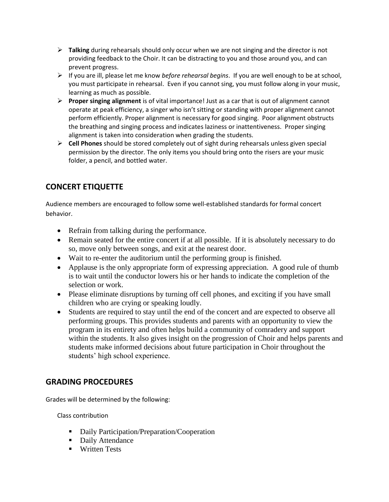- **Talking** during rehearsals should only occur when we are not singing and the director is not providing feedback to the Choir. It can be distracting to you and those around you, and can prevent progress.
- If you are ill, please let me know *before rehearsal begins*. If you are well enough to be at school, you must participate in rehearsal. Even if you cannot sing, you must follow along in your music, learning as much as possible.
- **Proper singing alignment** is of vital importance! Just as a car that is out of alignment cannot operate at peak efficiency, a singer who isn't sitting or standing with proper alignment cannot perform efficiently. Proper alignment is necessary for good singing. Poor alignment obstructs the breathing and singing process and indicates laziness or inattentiveness. Proper singing alignment is taken into consideration when grading the students.
- **Cell Phones** should be stored completely out of sight during rehearsals unless given special permission by the director. The only items you should bring onto the risers are your music folder, a pencil, and bottled water.

#### **CONCERT ETIQUETTE**

Audience members are encouraged to follow some well-established standards for formal concert behavior.

- Refrain from talking during the performance.
- Remain seated for the entire concert if at all possible. If it is absolutely necessary to do so, move only between songs, and exit at the nearest door.
- Wait to re-enter the auditorium until the performing group is finished.
- Applause is the only appropriate form of expressing appreciation. A good rule of thumb is to wait until the conductor lowers his or her hands to indicate the completion of the selection or work.
- Please eliminate disruptions by turning off cell phones, and exciting if you have small children who are crying or speaking loudly.
- Students are required to stay until the end of the concert and are expected to observe all performing groups. This provides students and parents with an opportunity to view the program in its entirety and often helps build a community of comradery and support within the students. It also gives insight on the progression of Choir and helps parents and students make informed decisions about future participation in Choir throughout the students' high school experience.

#### **GRADING PROCEDURES**

Grades will be determined by the following:

Class contribution

- Daily Participation/Preparation/Cooperation
- Daily Attendance
- **Written Tests**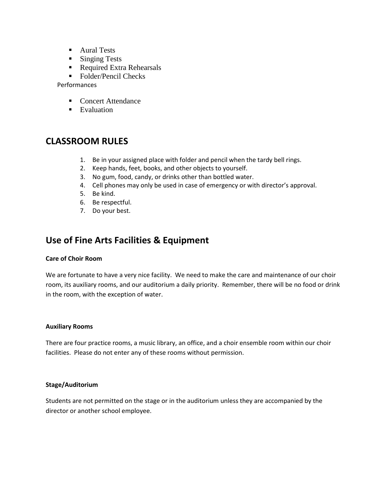- **Aural Tests**
- **Singing Tests**
- Required Extra Rehearsals
- Folder/Pencil Checks

Performances

- Concert Attendance
- **Evaluation**

#### **CLASSROOM RULES**

- 1. Be in your assigned place with folder and pencil when the tardy bell rings.
- 2. Keep hands, feet, books, and other objects to yourself.
- 3. No gum, food, candy, or drinks other than bottled water.
- 4. Cell phones may only be used in case of emergency or with director's approval.
- 5. Be kind.
- 6. Be respectful.
- 7. Do your best.

#### **Use of Fine Arts Facilities & Equipment**

#### **Care of Choir Room**

We are fortunate to have a very nice facility. We need to make the care and maintenance of our choir room, its auxiliary rooms, and our auditorium a daily priority. Remember, there will be no food or drink in the room, with the exception of water.

#### **Auxiliary Rooms**

There are four practice rooms, a music library, an office, and a choir ensemble room within our choir facilities. Please do not enter any of these rooms without permission.

#### **Stage/Auditorium**

Students are not permitted on the stage or in the auditorium unless they are accompanied by the director or another school employee.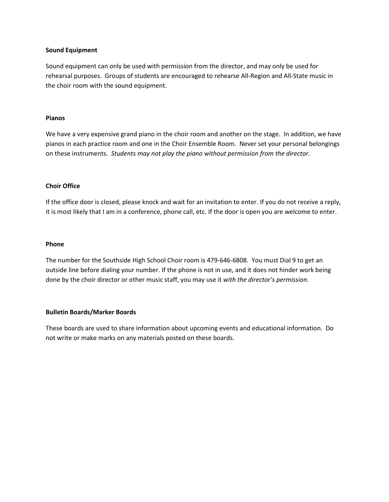#### **Sound Equipment**

Sound equipment can only be used with permission from the director, and may only be used for rehearsal purposes. Groups of students are encouraged to rehearse All-Region and All-State music in the choir room with the sound equipment.

#### **Pianos**

We have a very expensive grand piano in the choir room and another on the stage. In addition, we have pianos in each practice room and one in the Choir Ensemble Room. Never set your personal belongings on these instruments. *Students may not play the piano without permission from the director.*

#### **Choir Office**

If the office door is closed, please knock and wait for an invitation to enter. If you do not receive a reply, it is most likely that I am in a conference, phone call, etc. If the door is open you are welcome to enter.

#### **Phone**

The number for the Southside High School Choir room is 479-646-6808. You must Dial 9 to get an outside line before dialing your number. If the phone is not in use, and it does not hinder work being done by the choir director or other music staff, you may use it *with the director's permission.*

#### **Bulletin Boards/Marker Boards**

These boards are used to share information about upcoming events and educational information. Do not write or make marks on any materials posted on these boards.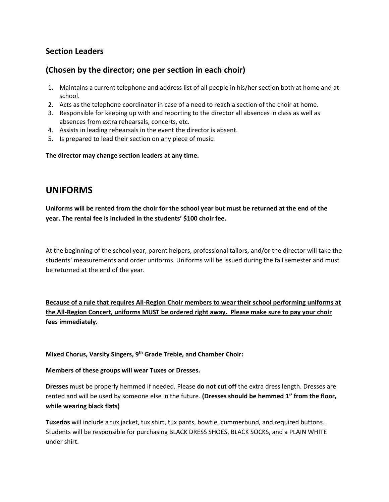#### **Section Leaders**

#### **(Chosen by the director; one per section in each choir)**

- 1. Maintains a current telephone and address list of all people in his/her section both at home and at school.
- 2. Acts as the telephone coordinator in case of a need to reach a section of the choir at home.
- 3. Responsible for keeping up with and reporting to the director all absences in class as well as absences from extra rehearsals, concerts, etc.
- 4. Assists in leading rehearsals in the event the director is absent.
- 5. Is prepared to lead their section on any piece of music.

**The director may change section leaders at any time.** 

#### **UNIFORMS**

**Uniforms will be rented from the choir for the school year but must be returned at the end of the year. The rental fee is included in the students' \$100 choir fee.** 

At the beginning of the school year, parent helpers, professional tailors, and/or the director will take the students' measurements and order uniforms. Uniforms will be issued during the fall semester and must be returned at the end of the year.

**Because of a rule that requires All-Region Choir members to wear their school performing uniforms at the All-Region Concert, uniforms MUST be ordered right away. Please make sure to pay your choir fees immediately.**

**Mixed Chorus, Varsity Singers, 9th Grade Treble, and Chamber Choir:** 

#### **Members of these groups will wear Tuxes or Dresses.**

**Dresses** must be properly hemmed if needed. Please **do not cut off** the extra dress length. Dresses are rented and will be used by someone else in the future. **(Dresses should be hemmed 1" from the floor, while wearing black flats)**

**Tuxedos** will include a tux jacket, tux shirt, tux pants, bowtie, cummerbund, and required buttons. . Students will be responsible for purchasing BLACK DRESS SHOES, BLACK SOCKS, and a PLAIN WHITE under shirt.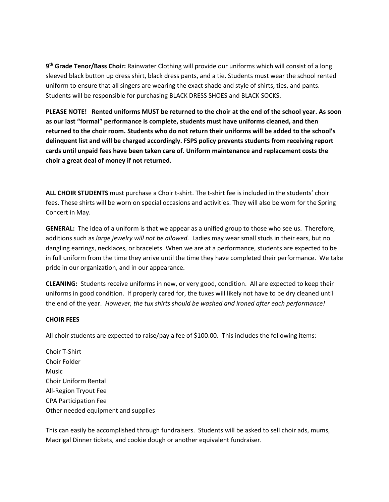**9 th Grade Tenor/Bass Choir:** Rainwater Clothing will provide our uniforms which will consist of a long sleeved black button up dress shirt, black dress pants, and a tie. Students must wear the school rented uniform to ensure that all singers are wearing the exact shade and style of shirts, ties, and pants. Students will be responsible for purchasing BLACK DRESS SHOES and BLACK SOCKS.

**PLEASE NOTE! Rented uniforms MUST be returned to the choir at the end of the school year. As soon as our last "formal" performance is complete, students must have uniforms cleaned, and then returned to the choir room. Students who do not return their uniforms will be added to the school's delinquent list and will be charged accordingly. FSPS policy prevents students from receiving report cards until unpaid fees have been taken care of. Uniform maintenance and replacement costs the choir a great deal of money if not returned.** 

**ALL CHOIR STUDENTS** must purchase a Choir t-shirt. The t-shirt fee is included in the students' choir fees. These shirts will be worn on special occasions and activities. They will also be worn for the Spring Concert in May.

**GENERAL:** The idea of a uniform is that we appear as a unified group to those who see us. Therefore, additions such as *large jewelry will not be allowed.* Ladies may wear small studs in their ears, but no dangling earrings, necklaces, or bracelets. When we are at a performance, students are expected to be in full uniform from the time they arrive until the time they have completed their performance. We take pride in our organization, and in our appearance.

**CLEANING:** Students receive uniforms in new, or very good, condition. All are expected to keep their uniforms in good condition. If properly cared for, the tuxes will likely not have to be dry cleaned until the end of the year. *However, the tux shirts should be washed and ironed after each performance!*

#### **CHOIR FEES**

All choir students are expected to raise/pay a fee of \$100.00. This includes the following items:

Choir T-Shirt Choir Folder Music Choir Uniform Rental All-Region Tryout Fee CPA Participation Fee Other needed equipment and supplies

This can easily be accomplished through fundraisers. Students will be asked to sell choir ads, mums, Madrigal Dinner tickets, and cookie dough or another equivalent fundraiser.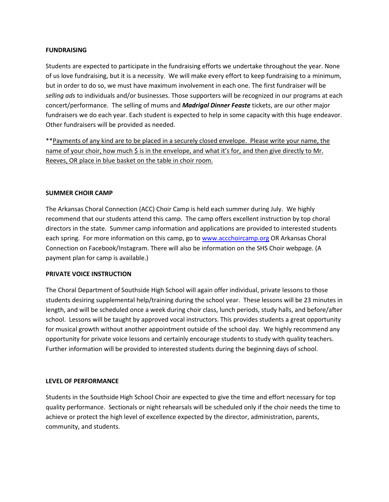#### **FUNDRAISING**

Students are expected to participate in the fundraising efforts we undertake throughout the year. None of us love fundraising, but it is a necessity. We will make every effort to keep fundraising to a minimum, but in order to do so, we must have maximum involvement in each one. The first fundraiser will be *selling ads* to individuals and/or businesses. Those supporters will be recognized in our programs at each concert/performance. The selling of mums and *Madrigal Dinner Feaste* tickets, are our other major fundraisers we do each year. Each student is expected to help in some capacity with this huge endeavor. Other fundraisers will be provided as needed.

\*\*Payments of any kind are to be placed in a securely closed envelope. Please write your name, the name of your choir, how much \$ is in the envelope, and what it's for, and then give directly to Mr. Reeves, OR place in blue basket on the table in choir room.

#### **SUMMER CHOIR CAMP**

The Arkansas Choral Connection (ACC) Choir Camp is held each summer during July. We highly recommend that our students attend this camp. The camp offers excellent instruction by top choral directors in the state. Summer camp information and applications are provided to interested students each spring. For more information on this camp, go to [www.accchoircamp.org](http://www.accchoircamp.org/) OR Arkansas Choral Connection on Facebook/Instagram. There will also be information on the SHS Choir webpage. (A payment plan for camp is available.)

#### **PRIVATE VOICE INSTRUCTION**

The Choral Department of Southside High School will again offer individual, private lessons to those students desiring supplemental help/training during the school year. These lessons will be 23 minutes in length, and will be scheduled once a week during choir class, lunch periods, study halls, and before/after school. Lessons will be taught by approved vocal instructors. This provides students a great opportunity for musical growth without another appointment outside of the school day. We highly recommend any opportunity for private voice lessons and certainly encourage students to study with quality teachers. Further information will be provided to interested students during the beginning days of school.

#### **LEVEL OF PERFORMANCE**

Students in the Southside High School Choir are expected to give the time and effort necessary for top quality performance. Sectionals or night rehearsals will be scheduled only if the choir needs the time to achieve or protect the high level of excellence expected by the director, administration, parents, community, and students.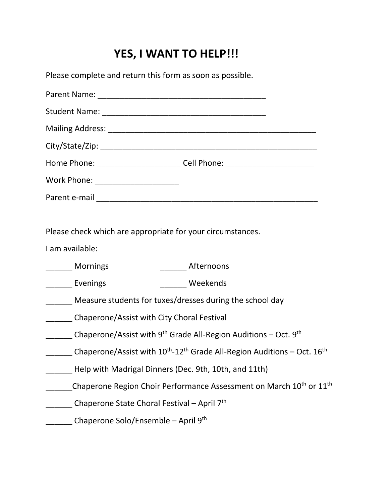## **YES, I WANT TO HELP!!!**

Please complete and return this form as soon as possible.

| Home Phone: _____________________________Cell Phone: ___________________________ |  |
|----------------------------------------------------------------------------------|--|
| Work Phone: ______________________                                               |  |
| Darant e-mail                                                                    |  |

Please check which are appropriate for your circumstances.

I am available:

- \_\_\_\_\_\_ Mornings \_\_\_\_\_\_ Afternoons
- \_\_\_\_\_\_\_ Evenings \_\_\_\_\_\_\_\_ Weekends
- Measure students for tuxes/dresses during the school day
- \_\_\_\_\_\_ Chaperone/Assist with City Choral Festival
- \_\_\_\_\_\_\_ Chaperone/Assist with 9<sup>th</sup> Grade All-Region Auditions Oct. 9<sup>th</sup>
- Chaperone/Assist with  $10^{\text{th}}$ -12<sup>th</sup> Grade All-Region Auditions Oct.  $16^{\text{th}}$
- Help with Madrigal Dinners (Dec. 9th, 10th, and 11th)
- Chaperone Region Choir Performance Assessment on March 10<sup>th</sup> or 11<sup>th</sup>
- Chaperone State Choral Festival April 7<sup>th</sup>
- Chaperone Solo/Ensemble April 9<sup>th</sup>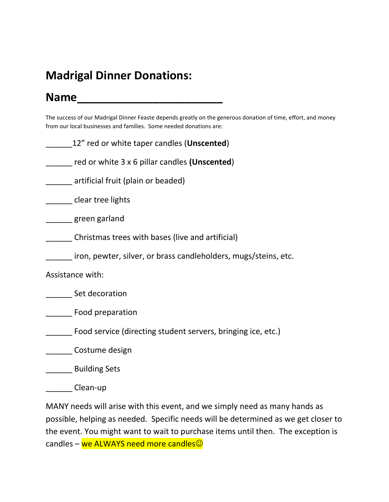## **Madrigal Dinner Donations:**

## **Name\_\_\_\_\_\_\_\_\_\_\_\_\_\_\_\_\_\_\_\_\_\_\_**

The success of our Madrigal Dinner Feaste depends greatly on the generous donation of time, effort, and money from our local businesses and families. Some needed donations are:

| 12" red or white taper candles (Unscented)                      |
|-----------------------------------------------------------------|
| red or white $3 \times 6$ pillar candles (Unscented)            |
| artificial fruit (plain or beaded)                              |
| clear tree lights                                               |
| _ green garland                                                 |
| Christmas trees with bases (live and artificial)                |
| iron, pewter, silver, or brass candleholders, mugs/steins, etc. |
| Assistance with:                                                |
| Set decoration                                                  |
| Food preparation                                                |
| Food service (directing student servers, bringing ice, etc.)    |
| Costume design                                                  |
| <b>Building Sets</b>                                            |
| Clean-up                                                        |

MANY needs will arise with this event, and we simply need as many hands as possible, helping as needed. Specific needs will be determined as we get closer to the event. You might want to wait to purchase items until then. The exception is candles – we ALWAYS need more candles<sup>©</sup>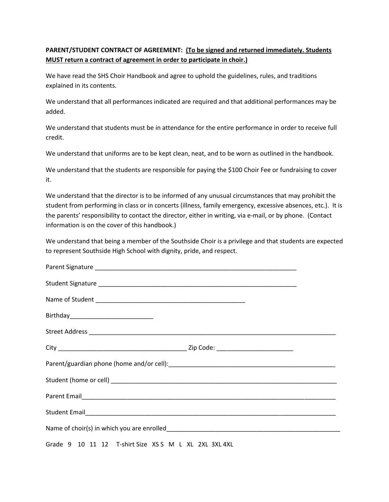#### **PARENT/STUDENT CONTRACT OF AGREEMENT: (To be signed and returned immediately. Students MUST return a contract of agreement in order to participate in choir.)**

We have read the SHS Choir Handbook and agree to uphold the guidelines, rules, and traditions explained in its contents.

We understand that all performances indicated are required and that additional performances may be added.

We understand that students must be in attendance for the entire performance in order to receive full credit.

We understand that uniforms are to be kept clean, neat, and to be worn as outlined in the handbook.

We understand that the students are responsible for paying the \$100 Choir Fee or fundraising to cover it.

We understand that the director is to be informed of any unusual circumstances that may prohibit the student from performing in class or in concerts (illness, family emergency, excessive absences, etc.). It is the parents' responsibility to contact the director, either in writing, via e-mail, or by phone. (Contact information is on the cover of this handbook.)

We understand that being a member of the Southside Choir is a privilege and that students are expected to represent Southside High School with dignity, pride, and respect.

| Grade 9 10 11 12 T-shirt Size XSS M L XL 2XL 3XL 4XL |  |
|------------------------------------------------------|--|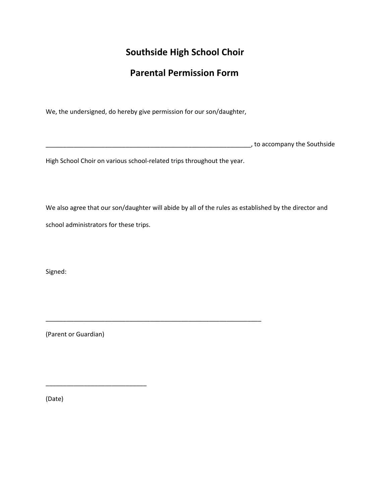#### **Southside High School Choir**

#### **Parental Permission Form**

We, the undersigned, do hereby give permission for our son/daughter,

\_\_\_\_\_\_\_\_\_\_\_\_\_\_\_\_\_\_\_\_\_\_\_\_\_\_\_\_\_\_\_\_\_\_\_\_\_\_\_\_\_\_\_\_\_\_\_\_\_\_\_\_\_\_\_\_\_\_\_, to accompany the Southside

High School Choir on various school-related trips throughout the year.

\_\_\_\_\_\_\_\_\_\_\_\_\_\_\_\_\_\_\_\_\_\_\_\_\_\_\_\_\_\_\_\_\_\_\_\_\_\_\_\_\_\_\_\_\_\_\_\_\_\_\_\_\_\_\_\_\_\_\_\_\_\_

We also agree that our son/daughter will abide by all of the rules as established by the director and school administrators for these trips.

Signed:

(Parent or Guardian)

\_\_\_\_\_\_\_\_\_\_\_\_\_\_\_\_\_\_\_\_\_\_\_\_\_\_\_\_\_

(Date)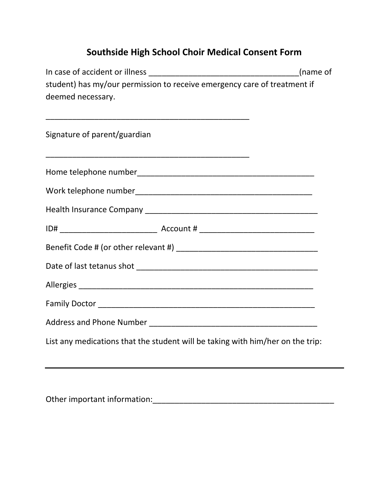## **Southside High School Choir Medical Consent Form**

| student) has my/our permission to receive emergency care of treatment if       |  |
|--------------------------------------------------------------------------------|--|
| deemed necessary.                                                              |  |
|                                                                                |  |
| Signature of parent/guardian                                                   |  |
|                                                                                |  |
|                                                                                |  |
|                                                                                |  |
|                                                                                |  |
|                                                                                |  |
|                                                                                |  |
|                                                                                |  |
|                                                                                |  |
|                                                                                |  |
|                                                                                |  |
| List any medications that the student will be taking with him/her on the trip: |  |

Other important information:\_\_\_\_\_\_\_\_\_\_\_\_\_\_\_\_\_\_\_\_\_\_\_\_\_\_\_\_\_\_\_\_\_\_\_\_\_\_\_\_\_